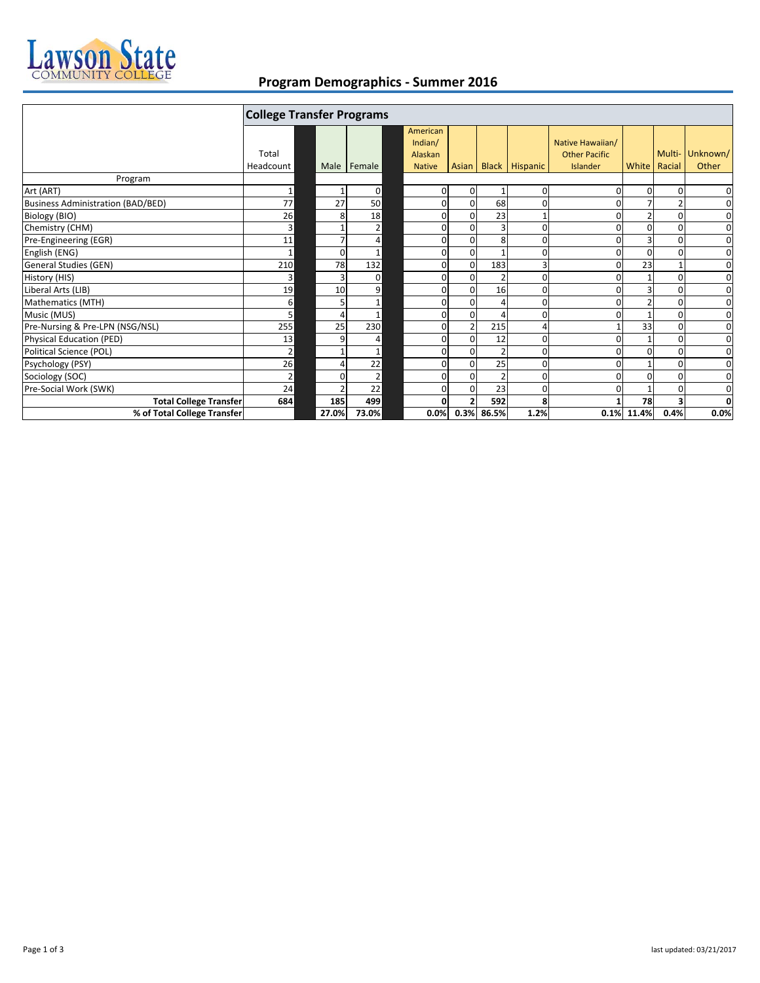

## **Program Demographics ‐ Summer 2016**

|                                          | <b>College Transfer Programs</b> |          |                |                                                 |                |                |                |                      |                                                      |               |                          |                   |
|------------------------------------------|----------------------------------|----------|----------------|-------------------------------------------------|----------------|----------------|----------------|----------------------|------------------------------------------------------|---------------|--------------------------|-------------------|
|                                          | Total<br>Headcount               |          | Male Female    | American<br>Indian/<br>Alaskan<br><b>Native</b> |                |                |                | Asian Black Hispanic | Native Hawaiian/<br><b>Other Pacific</b><br>Islander |               | Multi-<br>White   Racial | Unknown/<br>Other |
| Program                                  |                                  |          |                |                                                 |                |                |                |                      |                                                      |               |                          |                   |
| Art (ART)                                | 1                                |          | $\mathbf 0$    |                                                 | $\mathbf 0$    | $\overline{0}$ |                | 0                    | $\Omega$                                             | 0             | $\Omega$                 | $\mathbf 0$       |
| <b>Business Administration (BAD/BED)</b> | 77                               | 27       | 50             |                                                 | $\overline{0}$ | $\Omega$       | 68             | $\Omega$             |                                                      |               |                          | $\mathbf 0$       |
| Biology (BIO)                            | 26                               | 8        | 18             |                                                 | $\Omega$       | $\Omega$       | 23             |                      |                                                      |               |                          | $\mathbf 0$       |
| Chemistry (CHM)                          | $\overline{\mathbf{3}}$          |          | 2              |                                                 | 0              | $\Omega$       | 3              | 0                    |                                                      | O             |                          | $\mathbf 0$       |
| Pre-Engineering (EGR)                    | 11                               |          | 4              |                                                 | $\Omega$       | $\Omega$       | 8              | $\Omega$             |                                                      | 3             | $\Omega$                 | $\mathbf 0$       |
| English (ENG)                            | $\mathbf{1}$                     | $\Omega$ |                |                                                 | $\Omega$       | $\Omega$       |                | $\Omega$             | <sup>n</sup>                                         | O             | $\Omega$                 | $\mathbf 0$       |
| <b>General Studies (GEN)</b>             | 210                              | 78       | 132            |                                                 | $\Omega$       | $\Omega$       | 183            | 3                    | $\Omega$                                             | 23            |                          | 0                 |
| History (HIS)                            | $\overline{3}$                   | 3        | $\Omega$       |                                                 | $\Omega$       | $\Omega$       | $\overline{2}$ | $\overline{0}$       |                                                      |               |                          | $\mathbf 0$       |
| Liberal Arts (LIB)                       | 19                               | 10       | 9              |                                                 | $\Omega$       | $\Omega$       | 16             | 0                    |                                                      |               |                          | $\mathbf 0$       |
| Mathematics (MTH)                        | 6                                |          |                |                                                 | $\overline{0}$ | $\mathbf{0}$   | $\Delta$       | $\Omega$             |                                                      | $\mathfrak z$ | $\Omega$                 | $\mathbf 0$       |
| Music (MUS)                              | 5                                |          | $\mathbf{1}$   |                                                 | 0              | $\Omega$       |                | 0                    |                                                      |               |                          | $\mathbf 0$       |
| Pre-Nursing & Pre-LPN (NSG/NSL)          | 255                              | 25       | 230            |                                                 | 0              |                | 215            |                      |                                                      | 33            |                          | 0                 |
| <b>Physical Education (PED)</b>          | 13                               | q        | 4              |                                                 | $\Omega$       | $\Omega$       | 12             | $\Omega$             |                                                      |               | $\Omega$                 | 0                 |
| Political Science (POL)                  | $\mathbf{2}$                     |          | 1              |                                                 | $\Omega$       | $\Omega$       | $\overline{2}$ | $\Omega$             | 0                                                    | $\Omega$      | $\Omega$                 | 0                 |
| Psychology (PSY)                         | 26                               |          | 22             |                                                 | $\Omega$       | $\Omega$       | 25             | $\Omega$             |                                                      |               |                          | $\mathbf 0$       |
| Sociology (SOC)                          | $\overline{2}$                   | $\Omega$ | $\overline{2}$ |                                                 | $\Omega$       | $\Omega$       | $\overline{2}$ | 0                    |                                                      | 0             |                          | $\mathbf 0$       |
| Pre-Social Work (SWK)                    | 24                               |          | 22             |                                                 | $\overline{0}$ | $\Omega$       | 23             | $\overline{0}$       | O                                                    |               |                          | 0                 |
| <b>Total College Transfer</b>            | 684                              | 185      | 499            |                                                 | $\Omega$       |                | 592            | 8                    |                                                      | 78            |                          | 0                 |
| % of Total College Transfer              |                                  | 27.0%    | 73.0%          |                                                 | 0.0%           | 0.3%           | 86.5%          | 1.2%                 | 0.1%                                                 | 11.4%         | 0.4%                     | 0.0%              |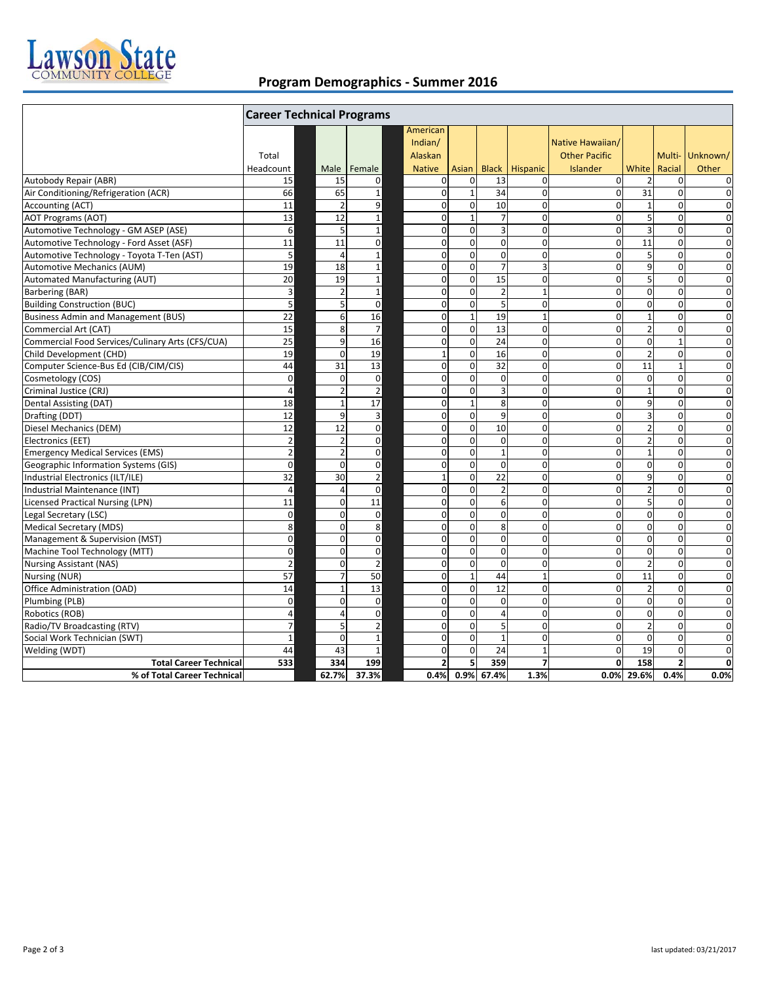

## **Program Demographics ‐ Summer 2016**

|                                                  | <b>Career Technical Programs</b> |                          |                         |                         |                  |                |                |                      |                         |                         |                 |
|--------------------------------------------------|----------------------------------|--------------------------|-------------------------|-------------------------|------------------|----------------|----------------|----------------------|-------------------------|-------------------------|-----------------|
|                                                  |                                  |                          |                         | American                |                  |                |                |                      |                         |                         |                 |
|                                                  |                                  |                          |                         | Indian/                 |                  |                |                | Native Hawaiian/     |                         |                         |                 |
|                                                  | Total                            |                          |                         | Alaskan                 |                  |                |                | <b>Other Pacific</b> |                         |                         | Multi- Unknown/ |
|                                                  | Headcount                        | Male                     | Female                  | <b>Native</b>           | Asian            | <b>Black</b>   | Hispanic       | <b>Islander</b>      | White                   | Racial                  | Other           |
| Autobody Repair (ABR)                            | 15                               | 15                       | $\mathbf 0$             | $\mathbf 0$             | $\mathbf 0$      | 13             | 0              | $\mathbf{0}$         |                         | $\mathbf 0$             | 0               |
| Air Conditioning/Refrigeration (ACR)             | 66                               | 65                       | $\mathbf{1}$            | $\mathbf{0}$            | $\mathbf{1}$     | 34             | $\overline{0}$ | $\mathbf 0$          | 31                      | $\Omega$                | $\mathbf 0$     |
| Accounting (ACT)                                 | 11                               | $\overline{2}$           | 9                       | $\mathbf 0$             | $\mathbf 0$      | 10             | $\mathbf 0$    | $\Omega$             | $\mathbf{1}$            | $\mathbf 0$             | $\mathbf 0$     |
| <b>AOT Programs (AOT)</b>                        | 13                               | 12                       | $\mathbf 1$             | $\mathbf 0$             | $\mathbf{1}$     | $\overline{7}$ | $\mathbf 0$    | $\Omega$             | 5                       | $\pmb{0}$               | $\mathbf 0$     |
| Automotive Technology - GM ASEP (ASE)            | $6 \overline{6}$                 | 5                        | $\mathbf 1$             | $\mathbf 0$             | $\mathbf 0$      | $\overline{3}$ | $\mathbf 0$    | $\mathbf 0$          | 3                       | $\mathbf 0$             | $\mathbf 0$     |
| Automotive Technology - Ford Asset (ASF)         | 11                               | 11                       | $\mathbf 0$             | $\mathbf 0$             | $\mathbf 0$      | $\mathbf 0$    | $\mathbf 0$    | $\mathbf 0$          | 11                      | $\mathbf 0$             | $\mathbf 0$     |
| Automotive Technology - Toyota T-Ten (AST)       | 5                                | $\overline{4}$           | $\mathbf 1$             | $\mathbf 0$             | $\boldsymbol{0}$ | $\mathbf 0$    | $\mathbf 0$    | $\mathbf 0$          | 5                       | $\pmb{0}$               | 0               |
| Automotive Mechanics (AUM)                       | 19                               | 18                       | $\mathbf 1$             | $\mathbf 0$             | $\mathbf 0$      | $\overline{7}$ | 3              | $\mathbf 0$          | 9                       | $\mathbf 0$             | $\mathbf 0$     |
| Automated Manufacturing (AUT)                    | 20                               | 19                       | $\mathbf 1$             | $\mathbf 0$             | $\boldsymbol{0}$ | 15             | $\mathbf 0$    | $\mathbf 0$          | 5                       | $\mathbf 0$             | $\mathbf 0$     |
| Barbering (BAR)                                  | $\overline{\mathbf{3}}$          | $\overline{2}$           | $\mathbf{1}$            | $\mathbf 0$             | $\mathbf 0$      | $\overline{2}$ | $\mathbf{1}$   | $\mathbf 0$          | $\mathbf 0$             | $\mathbf 0$             | $\mathbf 0$     |
| <b>Building Construction (BUC)</b>               | 5                                | 5                        | $\mathbf 0$             | $\mathbf 0$             | $\mathbf 0$      | 5              | $\mathbf 0$    | $\mathbf 0$          | $\mathbf 0$             | $\mathbf 0$             | $\mathbf 0$     |
| <b>Business Admin and Management (BUS)</b>       | 22                               | 6                        | 16                      | $\mathbf 0$             | $\mathbf 1$      | 19             | $\mathbf{1}$   | $\mathbf 0$          | $\mathbf{1}$            | $\mathbf 0$             | 0               |
| Commercial Art (CAT)                             | 15                               | 8                        | $\overline{7}$          | $\mathbf 0$             | $\mathbf 0$      | 13             | $\mathbf 0$    | $\mathbf 0$          | $\overline{2}$          | $\mathbf 0$             | $\mathbf 0$     |
| Commercial Food Services/Culinary Arts (CFS/CUA) | 25                               | 9                        | 16                      | $\mathbf 0$             | $\mathbf 0$      | 24             | $\mathbf 0$    | $\mathbf 0$          | $\mathbf 0$             | $\mathbf{1}$            | $\mathbf 0$     |
| Child Development (CHD)                          | 19                               | $\mathbf 0$              | 19                      | $\mathbf 1$             | $\mathbf 0$      | 16             | $\mathbf 0$    | $\mathbf 0$          | $\overline{2}$          | $\mathbf 0$             | $\mathbf 0$     |
| Computer Science-Bus Ed (CIB/CIM/CIS)            | 44                               | 31                       | 13                      | $\mathbf 0$             | $\mathbf 0$      | 32             | $\mathbf 0$    | $\mathbf 0$          | 11                      | $\mathbf{1}$            | $\overline{0}$  |
| Cosmetology (COS)                                | $\mathbf 0$                      | $\mathbf 0$              | $\mathbf 0$             | $\mathbf 0$             | $\boldsymbol{0}$ | $\mathbf 0$    | $\mathbf 0$    | $\mathbf 0$          | $\mathbf 0$             | $\mathbf 0$             | $\mathbf 0$     |
| Criminal Justice (CRJ)                           | $\overline{4}$                   | $\overline{\phantom{a}}$ | $\overline{2}$          | $\mathbf 0$             | $\mathbf 0$      | $\overline{3}$ | $\mathbf 0$    | $\mathbf 0$          | $\mathbf{1}$            | $\mathbf 0$             | $\mathbf 0$     |
| Dental Assisting (DAT)                           | 18                               | $\overline{1}$           | 17                      | $\mathbf 0$             | $\mathbf{1}$     | 8              | $\mathbf 0$    | $\Omega$             | 9                       | $\mathbf 0$             | $\mathbf 0$     |
| Drafting (DDT)                                   | 12                               | q                        | 3                       | $\mathbf 0$             | $\mathbf 0$      | 9              | $\mathbf 0$    | $\mathbf 0$          | $\overline{\mathbf{3}}$ | $\mathbf 0$             | 0               |
| Diesel Mechanics (DEM)                           | 12                               | 12                       | $\mathbf 0$             | $\mathbf 0$             | $\Omega$         | 10             | $\Omega$       | $\Omega$             | $\overline{2}$          | $\Omega$                | $\mathbf 0$     |
| Electronics (EET)                                | $\overline{2}$                   | $\overline{2}$           | $\mathbf 0$             | $\mathbf 0$             | $\mathbf 0$      | $\mathbf 0$    | $\mathbf 0$    | $\Omega$             | $\overline{2}$          | $\mathbf 0$             | $\mathbf 0$     |
| <b>Emergency Medical Services (EMS)</b>          | $\overline{2}$                   | $\overline{2}$           | $\mathbf 0$             | $\mathbf 0$             | $\mathbf 0$      | $\mathbf{1}$   | $\mathbf 0$    | $\mathbf 0$          | $\mathbf{1}$            | $\mathbf 0$             | $\mathbf 0$     |
| Geographic Information Systems (GIS)             | $\mathbf 0$                      | $\Omega$                 | $\mathbf 0$             | $\mathbf{0}$            | $\mathbf 0$      | $\Omega$       | $\mathbf 0$    | $\Omega$             | $\mathbf{0}$            | $\Omega$                | $\mathbf 0$     |
| Industrial Electronics (ILT/ILE)                 | 32                               | 30                       | $\mathbf 2$             | $\mathbf{1}$            | $\mathbf 0$      | 22             | $\mathbf 0$    | $\mathbf 0$          | 9                       | $\mathbf 0$             | 0               |
| Industrial Maintenance (INT)                     | $\overline{4}$                   | $\Delta$                 | $\Omega$                | $\mathbf 0$             | $\Omega$         | $\overline{2}$ | $\Omega$       | $\Omega$             | $\overline{2}$          | $\Omega$                | $\Omega$        |
| <b>Licensed Practical Nursing (LPN)</b>          | $11\,$                           | $\Omega$                 | 11                      | $\pmb{0}$               | $\mathbf 0$      | 6              | $\Omega$       | $\Omega$             | 5                       | $\mathbf 0$             | 0               |
| Legal Secretary (LSC)                            | $\mathbf 0$                      | $\Omega$                 | $\mathbf 0$             | $\mathbf 0$             | $\mathbf 0$      | $\mathbf 0$    | $\mathbf 0$    | $\mathbf 0$          | $\mathbf 0$             | $\pmb{0}$               | $\mathbf 0$     |
| <b>Medical Secretary (MDS)</b>                   | 8                                | $\Omega$                 | 8                       | $\mathbf 0$             | $\mathbf 0$      | 8              | $\mathbf 0$    | $\mathbf 0$          | $\mathbf{0}$            | $\mathbf 0$             | $\mathbf 0$     |
| Management & Supervision (MST)                   | $\mathbf 0$                      | $\Omega$                 | $\mathbf 0$             | $\mathbf 0$             | $\boldsymbol{0}$ | $\mathbf 0$    | $\mathbf 0$    | $\mathbf 0$          | $\mathbf 0$             | $\boldsymbol{0}$        | $\mathbf 0$     |
| Machine Tool Technology (MTT)                    | $\mathbf 0$                      | $\Omega$                 | $\mathbf 0$             | $\mathbf 0$             | $\mathbf 0$      | $\mathbf 0$    | $\mathbf 0$    | $\mathbf 0$          | $\mathbf 0$             | $\mathbf 0$             | $\mathbf 0$     |
| <b>Nursing Assistant (NAS)</b>                   | $\mathbf 2$                      | $\Omega$                 | $\overline{2}$          | $\mathbf 0$             | $\mathbf 0$      | $\Omega$       | $\mathbf 0$    | $\Omega$             | $\overline{2}$          | $\mathbf 0$             | $\mathbf 0$     |
| Nursing (NUR)                                    | 57                               | $\overline{7}$           | 50                      | $\mathbf 0$             | $\mathbf{1}$     | 44             | $\mathbf{1}$   | $\mathbf 0$          | $\overline{11}$         | $\mathbf 0$             | $\mathbf 0$     |
| Office Administration (OAD)                      | 14                               | $\mathbf{1}$             | 13                      | $\mathbf 0$             | $\mathbf 0$      | 12             | $\mathbf 0$    | $\mathbf 0$          | $\overline{2}$          | $\mathbf 0$             | $\mathbf 0$     |
| Plumbing (PLB)                                   | $\mathbf 0$                      | $\Omega$                 | $\mathbf 0$             | $\mathbf 0$             | $\mathbf 0$      | $\mathbf 0$    | $\mathbf 0$    | $\mathbf 0$          | $\mathbf 0$             | $\mathbf 0$             | $\mathbf 0$     |
| Robotics (ROB)                                   | $\overline{4}$                   | 4                        | $\mathbf 0$             | $\mathbf 0$             | $\mathbf 0$      | $\overline{4}$ | $\mathbf 0$    | $\mathbf 0$          | $\mathbf 0$             | $\mathbf 0$             | $\mathbf 0$     |
| Radio/TV Broadcasting (RTV)                      | $\overline{7}$                   | 5                        | $\overline{\mathbf{c}}$ | $\mathbf 0$             | $\mathbf 0$      | 5              | $\mathbf 0$    | $\Omega$             | $\overline{2}$          | $\mathbf 0$             | $\mathbf 0$     |
| Social Work Technician (SWT)                     | $\mathbf{1}$                     | $\Omega$                 | $\mathbf{1}$            | $\mathbf 0$             | $\mathbf 0$      | $\mathbf{1}$   | $\mathbf 0$    | $\mathbf 0$          | $\mathbf 0$             | $\mathbf 0$             | $\mathbf 0$     |
| Welding (WDT)                                    | 44                               | 43                       | $\mathbf{1}$            | $\mathbf 0$             | $\mathbf 0$      | 24             | $\mathbf{1}$   | $\Omega$             | 19                      | $\Omega$                | $\mathbf 0$     |
| <b>Total Career Technical</b>                    | 533                              | 334                      | 199                     | $\overline{\mathbf{2}}$ | 5                | 359            | $\overline{7}$ | $\mathbf{0}$         | 158                     | $\overline{\mathbf{2}}$ | 0               |
| % of Total Career Technical                      |                                  | 62.7%                    | 37.3%                   | 0.4%                    |                  | 0.9% 67.4%     | 1.3%           | 0.0%                 | 29.6%                   | 0.4%                    | 0.0%            |
|                                                  |                                  |                          |                         |                         |                  |                |                |                      |                         |                         |                 |